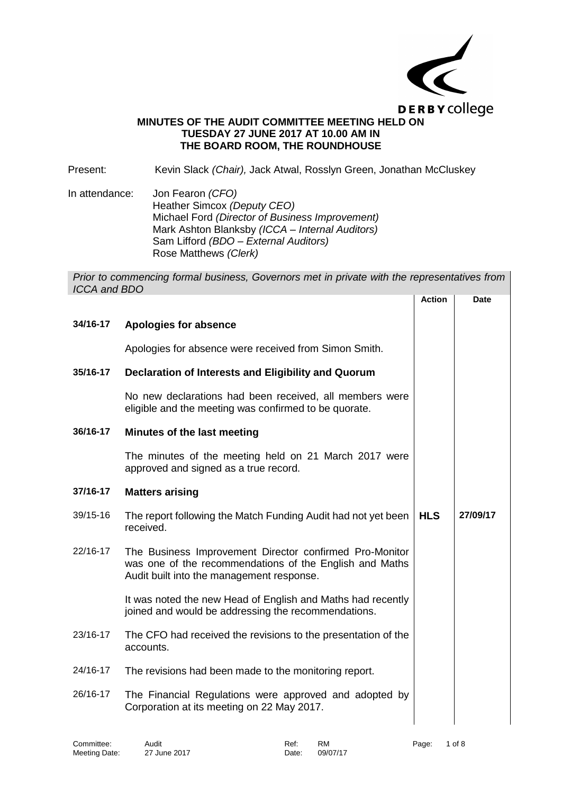

## **MINUTES OF THE AUDIT COMMITTEE MEETING HELD ON TUESDAY 27 JUNE 2017 AT 10.00 AM IN THE BOARD ROOM, THE ROUNDHOUSE**

Present: Kevin Slack *(Chair),* Jack Atwal, Rosslyn Green, Jonathan McCluskey

In attendance: Jon Fearon *(CFO)* Heather Simcox *(Deputy CEO)* Michael Ford *(Director of Business Improvement)* Mark Ashton Blanksby *(ICCA – Internal Auditors)* Sam Lifford *(BDO – External Auditors)* Rose Matthews *(Clerk)*

*Prior to commencing formal business, Governors met in private with the representatives from ICCA and BDO*

|          |                                                                                                                                                                 | <b>Action</b> | Date     |
|----------|-----------------------------------------------------------------------------------------------------------------------------------------------------------------|---------------|----------|
| 34/16-17 | <b>Apologies for absence</b>                                                                                                                                    |               |          |
|          | Apologies for absence were received from Simon Smith.                                                                                                           |               |          |
| 35/16-17 | Declaration of Interests and Eligibility and Quorum                                                                                                             |               |          |
|          | No new declarations had been received, all members were<br>eligible and the meeting was confirmed to be quorate.                                                |               |          |
| 36/16-17 | Minutes of the last meeting                                                                                                                                     |               |          |
|          | The minutes of the meeting held on 21 March 2017 were<br>approved and signed as a true record.                                                                  |               |          |
| 37/16-17 | <b>Matters arising</b>                                                                                                                                          |               |          |
| 39/15-16 | The report following the Match Funding Audit had not yet been<br>received.                                                                                      | <b>HLS</b>    | 27/09/17 |
| 22/16-17 | The Business Improvement Director confirmed Pro-Monitor<br>was one of the recommendations of the English and Maths<br>Audit built into the management response. |               |          |
|          | It was noted the new Head of English and Maths had recently<br>joined and would be addressing the recommendations.                                              |               |          |
| 23/16-17 | The CFO had received the revisions to the presentation of the<br>accounts.                                                                                      |               |          |
| 24/16-17 | The revisions had been made to the monitoring report.                                                                                                           |               |          |
| 26/16-17 | The Financial Regulations were approved and adopted by<br>Corporation at its meeting on 22 May 2017.                                                            |               |          |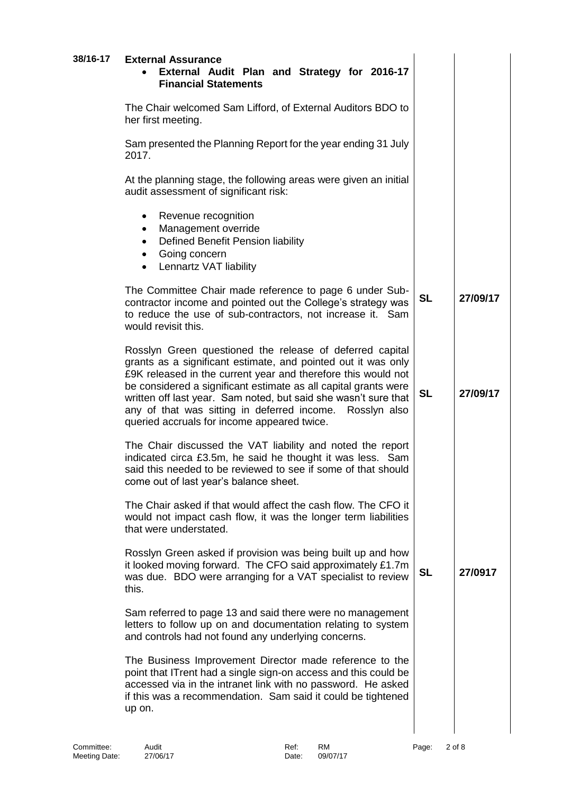| 38/16-17 | <b>External Assurance</b><br>External Audit Plan and Strategy for 2016-17<br><b>Financial Statements</b>                                                                                                                                                                                                                                                                                                                                       |           |          |
|----------|------------------------------------------------------------------------------------------------------------------------------------------------------------------------------------------------------------------------------------------------------------------------------------------------------------------------------------------------------------------------------------------------------------------------------------------------|-----------|----------|
|          | The Chair welcomed Sam Lifford, of External Auditors BDO to<br>her first meeting.                                                                                                                                                                                                                                                                                                                                                              |           |          |
|          | Sam presented the Planning Report for the year ending 31 July<br>2017.                                                                                                                                                                                                                                                                                                                                                                         |           |          |
|          | At the planning stage, the following areas were given an initial<br>audit assessment of significant risk:                                                                                                                                                                                                                                                                                                                                      |           |          |
|          | Revenue recognition<br>٠<br>Management override<br>$\bullet$<br>Defined Benefit Pension liability<br>$\bullet$<br>Going concern<br>$\bullet$<br>Lennartz VAT liability<br>$\bullet$                                                                                                                                                                                                                                                            |           |          |
|          | The Committee Chair made reference to page 6 under Sub-<br>contractor income and pointed out the College's strategy was<br>to reduce the use of sub-contractors, not increase it. Sam<br>would revisit this.                                                                                                                                                                                                                                   | <b>SL</b> | 27/09/17 |
|          | Rosslyn Green questioned the release of deferred capital<br>grants as a significant estimate, and pointed out it was only<br>£9K released in the current year and therefore this would not<br>be considered a significant estimate as all capital grants were<br>written off last year. Sam noted, but said she wasn't sure that<br>any of that was sitting in deferred income.<br>Rosslyn also<br>queried accruals for income appeared twice. | <b>SL</b> | 27/09/17 |
|          | The Chair discussed the VAT liability and noted the report<br>indicated circa £3.5m, he said he thought it was less. Sam<br>said this needed to be reviewed to see if some of that should<br>come out of last year's balance sheet.                                                                                                                                                                                                            |           |          |
|          | The Chair asked if that would affect the cash flow. The CFO it<br>would not impact cash flow, it was the longer term liabilities<br>that were understated.                                                                                                                                                                                                                                                                                     |           |          |
|          | Rosslyn Green asked if provision was being built up and how<br>it looked moving forward. The CFO said approximately £1.7m<br>was due. BDO were arranging for a VAT specialist to review<br>this.                                                                                                                                                                                                                                               | <b>SL</b> | 27/0917  |
|          | Sam referred to page 13 and said there were no management<br>letters to follow up on and documentation relating to system<br>and controls had not found any underlying concerns.                                                                                                                                                                                                                                                               |           |          |
|          | The Business Improvement Director made reference to the<br>point that ITrent had a single sign-on access and this could be<br>accessed via in the intranet link with no password. He asked<br>if this was a recommendation. Sam said it could be tightened<br>up on.                                                                                                                                                                           |           |          |
|          |                                                                                                                                                                                                                                                                                                                                                                                                                                                |           |          |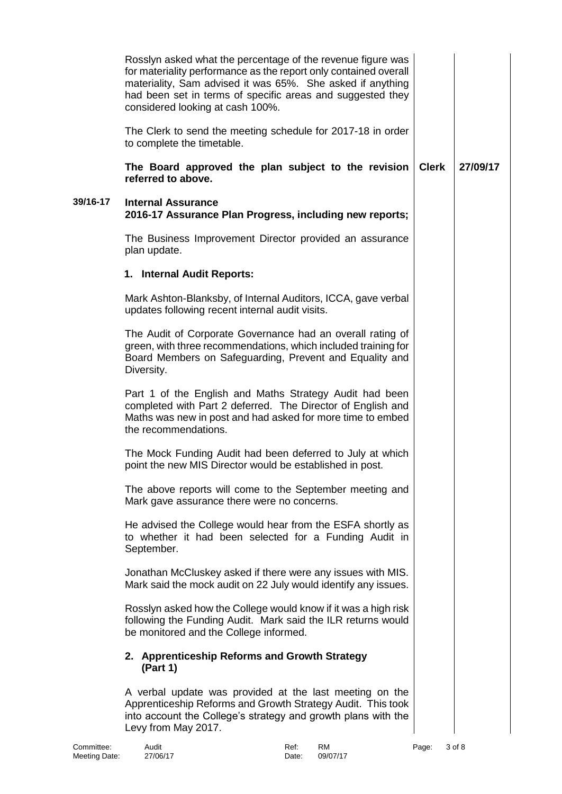|          | Rosslyn asked what the percentage of the revenue figure was<br>for materiality performance as the report only contained overall<br>materiality, Sam advised it was 65%. She asked if anything<br>had been set in terms of specific areas and suggested they<br>considered looking at cash 100%. |              |          |
|----------|-------------------------------------------------------------------------------------------------------------------------------------------------------------------------------------------------------------------------------------------------------------------------------------------------|--------------|----------|
|          | The Clerk to send the meeting schedule for 2017-18 in order<br>to complete the timetable.                                                                                                                                                                                                       |              |          |
|          | The Board approved the plan subject to the revision<br>referred to above.                                                                                                                                                                                                                       | <b>Clerk</b> | 27/09/17 |
| 39/16-17 | <b>Internal Assurance</b><br>2016-17 Assurance Plan Progress, including new reports;                                                                                                                                                                                                            |              |          |
|          | The Business Improvement Director provided an assurance<br>plan update.                                                                                                                                                                                                                         |              |          |
|          | 1. Internal Audit Reports:                                                                                                                                                                                                                                                                      |              |          |
|          | Mark Ashton-Blanksby, of Internal Auditors, ICCA, gave verbal<br>updates following recent internal audit visits.                                                                                                                                                                                |              |          |
|          | The Audit of Corporate Governance had an overall rating of<br>green, with three recommendations, which included training for<br>Board Members on Safeguarding, Prevent and Equality and<br>Diversity.                                                                                           |              |          |
|          | Part 1 of the English and Maths Strategy Audit had been<br>completed with Part 2 deferred. The Director of English and<br>Maths was new in post and had asked for more time to embed<br>the recommendations.                                                                                    |              |          |
|          | The Mock Funding Audit had been deferred to July at which<br>point the new MIS Director would be established in post.                                                                                                                                                                           |              |          |
|          | The above reports will come to the September meeting and<br>Mark gave assurance there were no concerns.                                                                                                                                                                                         |              |          |
|          | He advised the College would hear from the ESFA shortly as<br>to whether it had been selected for a Funding Audit in<br>September.                                                                                                                                                              |              |          |
|          | Jonathan McCluskey asked if there were any issues with MIS.<br>Mark said the mock audit on 22 July would identify any issues.                                                                                                                                                                   |              |          |
|          | Rosslyn asked how the College would know if it was a high risk<br>following the Funding Audit. Mark said the ILR returns would<br>be monitored and the College informed.                                                                                                                        |              |          |
|          | 2. Apprenticeship Reforms and Growth Strategy<br>(Part 1)                                                                                                                                                                                                                                       |              |          |
|          | A verbal update was provided at the last meeting on the<br>Apprenticeship Reforms and Growth Strategy Audit. This took<br>into account the College's strategy and growth plans with the<br>Levy from May 2017.                                                                                  |              |          |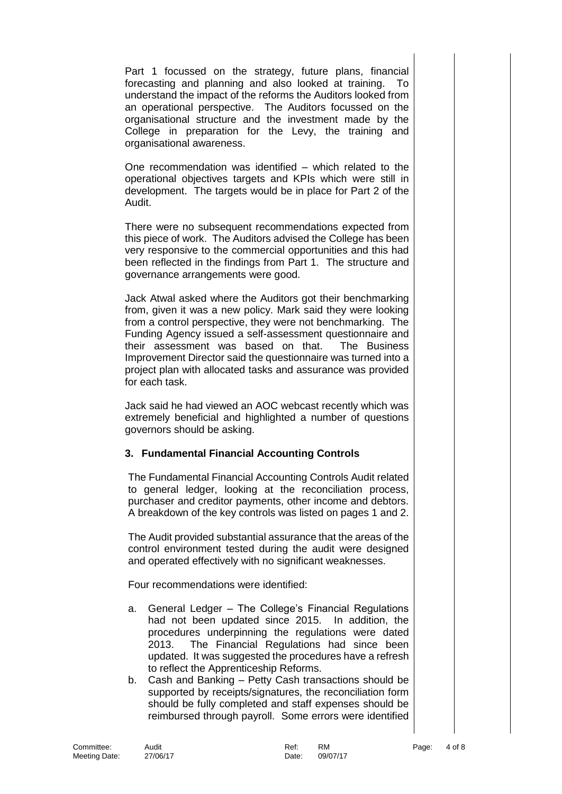Part 1 focussed on the strategy, future plans, financial forecasting and planning and also looked at training. To understand the impact of the reforms the Auditors looked from an operational perspective. The Auditors focussed on the organisational structure and the investment made by the College in preparation for the Levy, the training and organisational awareness.

One recommendation was identified – which related to the operational objectives targets and KPIs which were still in development. The targets would be in place for Part 2 of the Audit.

There were no subsequent recommendations expected from this piece of work. The Auditors advised the College has been very responsive to the commercial opportunities and this had been reflected in the findings from Part 1. The structure and governance arrangements were good.

Jack Atwal asked where the Auditors got their benchmarking from, given it was a new policy. Mark said they were looking from a control perspective, they were not benchmarking. The Funding Agency issued a self-assessment questionnaire and their assessment was based on that. The Business Improvement Director said the questionnaire was turned into a project plan with allocated tasks and assurance was provided for each task.

Jack said he had viewed an AOC webcast recently which was extremely beneficial and highlighted a number of questions governors should be asking.

## **3. Fundamental Financial Accounting Controls**

The Fundamental Financial Accounting Controls Audit related to general ledger, looking at the reconciliation process, purchaser and creditor payments, other income and debtors. A breakdown of the key controls was listed on pages 1 and 2.

The Audit provided substantial assurance that the areas of the control environment tested during the audit were designed and operated effectively with no significant weaknesses.

Four recommendations were identified:

- a. General Ledger The College's Financial Regulations had not been updated since 2015. In addition, the procedures underpinning the regulations were dated 2013. The Financial Regulations had since been updated. It was suggested the procedures have a refresh to reflect the Apprenticeship Reforms.
- b. Cash and Banking Petty Cash transactions should be supported by receipts/signatures, the reconciliation form should be fully completed and staff expenses should be reimbursed through payroll. Some errors were identified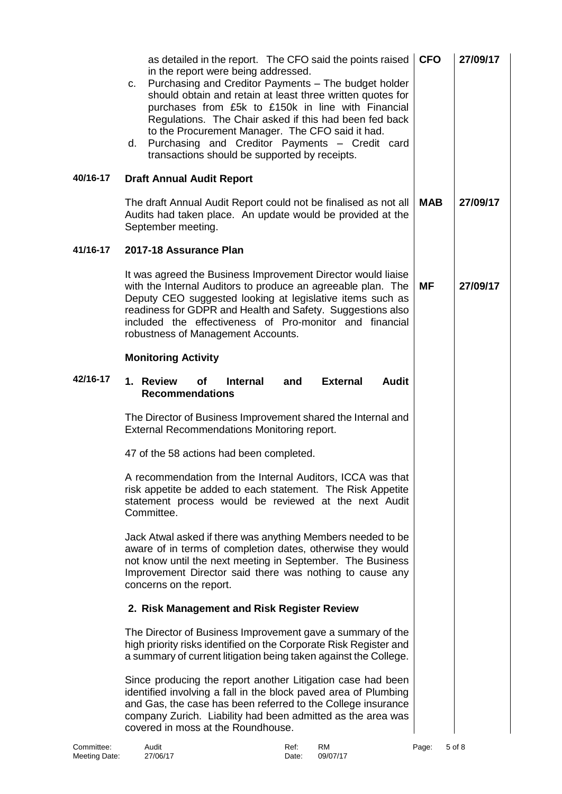|          | as detailed in the report. The CFO said the points raised<br>in the report were being addressed.<br>Purchasing and Creditor Payments - The budget holder<br>C.<br>should obtain and retain at least three written quotes for<br>purchases from £5k to £150k in line with Financial<br>Regulations. The Chair asked if this had been fed back<br>to the Procurement Manager. The CFO said it had.<br>Purchasing and Creditor Payments - Credit card<br>d.<br>transactions should be supported by receipts. | <b>CFO</b> | 27/09/17 |
|----------|-----------------------------------------------------------------------------------------------------------------------------------------------------------------------------------------------------------------------------------------------------------------------------------------------------------------------------------------------------------------------------------------------------------------------------------------------------------------------------------------------------------|------------|----------|
| 40/16-17 | <b>Draft Annual Audit Report</b>                                                                                                                                                                                                                                                                                                                                                                                                                                                                          |            |          |
|          | The draft Annual Audit Report could not be finalised as not all<br>Audits had taken place. An update would be provided at the<br>September meeting.                                                                                                                                                                                                                                                                                                                                                       | <b>MAB</b> | 27/09/17 |
| 41/16-17 | 2017-18 Assurance Plan                                                                                                                                                                                                                                                                                                                                                                                                                                                                                    |            |          |
|          | It was agreed the Business Improvement Director would liaise<br>with the Internal Auditors to produce an agreeable plan. The<br>Deputy CEO suggested looking at legislative items such as<br>readiness for GDPR and Health and Safety. Suggestions also<br>included the effectiveness of Pro-monitor and financial<br>robustness of Management Accounts.                                                                                                                                                  | <b>MF</b>  | 27/09/17 |
|          | <b>Monitoring Activity</b>                                                                                                                                                                                                                                                                                                                                                                                                                                                                                |            |          |
| 42/16-17 | 1. Review<br><b>of</b><br><b>Internal</b><br><b>External</b><br>Audit<br>and<br><b>Recommendations</b>                                                                                                                                                                                                                                                                                                                                                                                                    |            |          |
|          | The Director of Business Improvement shared the Internal and<br>External Recommendations Monitoring report.                                                                                                                                                                                                                                                                                                                                                                                               |            |          |
|          | 47 of the 58 actions had been completed.                                                                                                                                                                                                                                                                                                                                                                                                                                                                  |            |          |
|          | A recommendation from the Internal Auditors, ICCA was that<br>risk appetite be added to each statement. The Risk Appetite<br>statement process would be reviewed at the next Audit<br>Committee.                                                                                                                                                                                                                                                                                                          |            |          |
|          | Jack Atwal asked if there was anything Members needed to be<br>aware of in terms of completion dates, otherwise they would<br>not know until the next meeting in September. The Business<br>Improvement Director said there was nothing to cause any<br>concerns on the report.                                                                                                                                                                                                                           |            |          |
|          | 2. Risk Management and Risk Register Review                                                                                                                                                                                                                                                                                                                                                                                                                                                               |            |          |
|          | The Director of Business Improvement gave a summary of the<br>high priority risks identified on the Corporate Risk Register and<br>a summary of current litigation being taken against the College.                                                                                                                                                                                                                                                                                                       |            |          |
|          | Since producing the report another Litigation case had been<br>identified involving a fall in the block paved area of Plumbing<br>and Gas, the case has been referred to the College insurance<br>company Zurich. Liability had been admitted as the area was<br>covered in moss at the Roundhouse.                                                                                                                                                                                                       |            |          |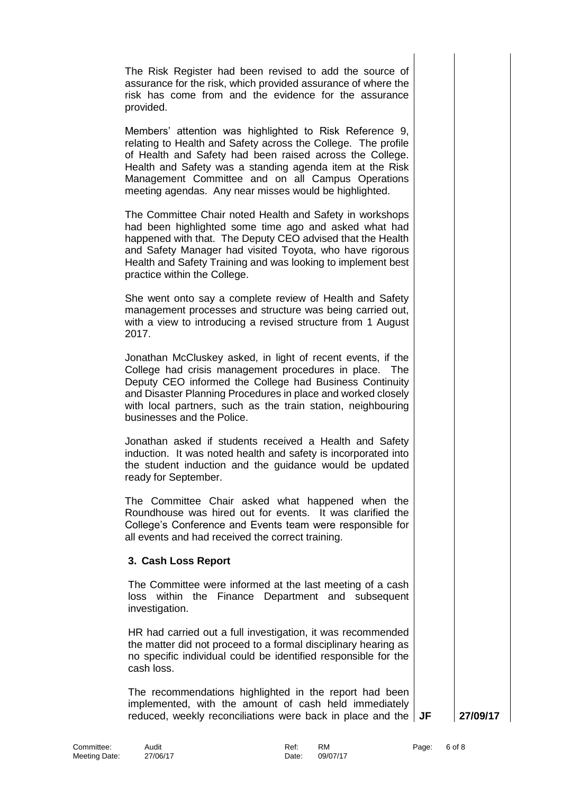The Risk Register had been revised to add the source of assurance for the risk, which provided assurance of where the risk has come from and the evidence for the assurance provided.

Members' attention was highlighted to Risk Reference 9, relating to Health and Safety across the College. The profile of Health and Safety had been raised across the College. Health and Safety was a standing agenda item at the Risk Management Committee and on all Campus Operations meeting agendas. Any near misses would be highlighted.

The Committee Chair noted Health and Safety in workshops had been highlighted some time ago and asked what had happened with that. The Deputy CEO advised that the Health and Safety Manager had visited Toyota, who have rigorous Health and Safety Training and was looking to implement best practice within the College.

She went onto say a complete review of Health and Safety management processes and structure was being carried out, with a view to introducing a revised structure from 1 August 2017.

Jonathan McCluskey asked, in light of recent events, if the College had crisis management procedures in place. The Deputy CEO informed the College had Business Continuity and Disaster Planning Procedures in place and worked closely with local partners, such as the train station, neighbouring businesses and the Police.

Jonathan asked if students received a Health and Safety induction. It was noted health and safety is incorporated into the student induction and the guidance would be updated ready for September.

The Committee Chair asked what happened when the Roundhouse was hired out for events. It was clarified the College's Conference and Events team were responsible for all events and had received the correct training.

## **3. Cash Loss Report**

The Committee were informed at the last meeting of a cash loss within the Finance Department and subsequent investigation.

HR had carried out a full investigation, it was recommended the matter did not proceed to a formal disciplinary hearing as no specific individual could be identified responsible for the cash loss.

The recommendations highlighted in the report had been implemented, with the amount of cash held immediately reduced, weekly reconciliations were back in place and the **JF 27/09/17**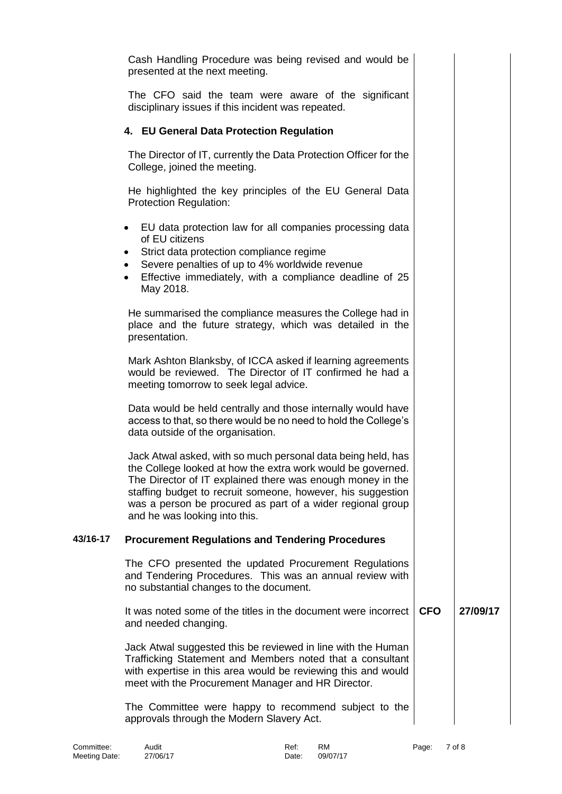|          | Cash Handling Procedure was being revised and would be<br>presented at the next meeting.                                                                                                                                                                                                                                                                |            |          |
|----------|---------------------------------------------------------------------------------------------------------------------------------------------------------------------------------------------------------------------------------------------------------------------------------------------------------------------------------------------------------|------------|----------|
|          | The CFO said the team were aware of the significant<br>disciplinary issues if this incident was repeated.                                                                                                                                                                                                                                               |            |          |
|          | 4. EU General Data Protection Regulation                                                                                                                                                                                                                                                                                                                |            |          |
|          | The Director of IT, currently the Data Protection Officer for the<br>College, joined the meeting.                                                                                                                                                                                                                                                       |            |          |
|          | He highlighted the key principles of the EU General Data<br><b>Protection Regulation:</b>                                                                                                                                                                                                                                                               |            |          |
|          | EU data protection law for all companies processing data<br>of EU citizens<br>Strict data protection compliance regime<br>$\bullet$<br>Severe penalties of up to 4% worldwide revenue<br>$\bullet$<br>Effective immediately, with a compliance deadline of 25<br>$\bullet$<br>May 2018.                                                                 |            |          |
|          | He summarised the compliance measures the College had in<br>place and the future strategy, which was detailed in the<br>presentation.                                                                                                                                                                                                                   |            |          |
|          | Mark Ashton Blanksby, of ICCA asked if learning agreements<br>would be reviewed. The Director of IT confirmed he had a<br>meeting tomorrow to seek legal advice.                                                                                                                                                                                        |            |          |
|          | Data would be held centrally and those internally would have<br>access to that, so there would be no need to hold the College's<br>data outside of the organisation.                                                                                                                                                                                    |            |          |
|          | Jack Atwal asked, with so much personal data being held, has<br>the College looked at how the extra work would be governed.<br>The Director of IT explained there was enough money in the<br>staffing budget to recruit someone, however, his suggestion<br>was a person be procured as part of a wider regional group<br>and he was looking into this. |            |          |
| 43/16-17 | <b>Procurement Regulations and Tendering Procedures</b>                                                                                                                                                                                                                                                                                                 |            |          |
|          | The CFO presented the updated Procurement Regulations<br>and Tendering Procedures. This was an annual review with<br>no substantial changes to the document.                                                                                                                                                                                            |            |          |
|          | It was noted some of the titles in the document were incorrect<br>and needed changing.                                                                                                                                                                                                                                                                  | <b>CFO</b> | 27/09/17 |
|          | Jack Atwal suggested this be reviewed in line with the Human<br>Trafficking Statement and Members noted that a consultant<br>with expertise in this area would be reviewing this and would<br>meet with the Procurement Manager and HR Director.                                                                                                        |            |          |
|          | The Committee were happy to recommend subject to the<br>approvals through the Modern Slavery Act.                                                                                                                                                                                                                                                       |            |          |